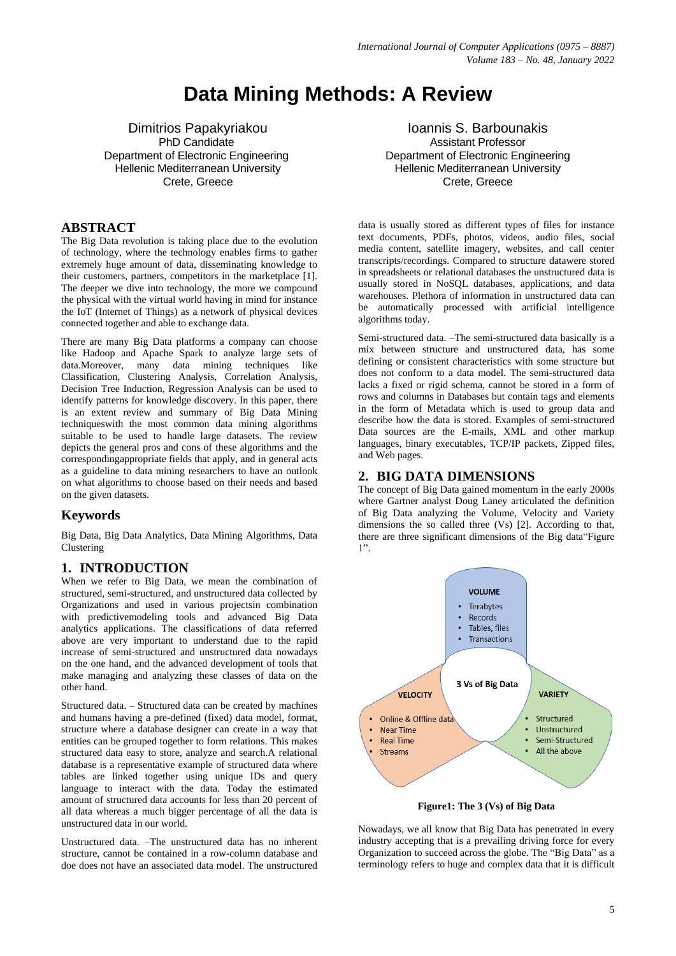# **Data Mining Methods: A Review**

Dimitrios Papakyriakou PhD Candidate Department of Electronic Engineering Hellenic Mediterranean University Crete, Greece

## **ABSTRACT**

The Big Data revolution is taking place due to the evolution of technology, where the technology enables firms to gather extremely huge amount of data, disseminating knowledge to their customers, partners, competitors in the marketplace [1]. The deeper we dive into technology, the more we compound the physical with the virtual world having in mind for instance the IoT (Internet of Things) as a network of physical devices connected together and able to exchange data.

There are many Big Data platforms a company can choose like Hadoop and Apache Spark to analyze large sets of data.Moreover, many data mining techniques like Classification, Clustering Analysis, Correlation Analysis, Decision Tree Induction, Regression Analysis can be used to identify patterns for knowledge discovery. In this paper, there is an extent review and summary of Big Data Mining techniqueswith the most common data mining algorithms suitable to be used to handle large datasets. The review depicts the general pros and cons of these algorithms and the correspondingappropriate fields that apply, and in general acts as a guideline to data mining researchers to have an outlook on what algorithms to choose based on their needs and based on the given datasets.

# **Keywords**

Big Data, Big Data Analytics, Data Mining Algorithms, Data Clustering

# **1. INTRODUCTION**

When we refer to Big Data, we mean the combination of structured, semi-structured, and unstructured data collected by Organizations and used in various projectsin combination with predictivemodeling tools and advanced Big Data analytics applications. The classifications of data referred above are very important to understand due to the rapid increase of semi-structured and unstructured data nowadays on the one hand, and the advanced development of tools that make managing and analyzing these classes of data on the other hand.

Structured data. – Structured data can be created by machines and humans having a pre-defined (fixed) data model, format, structure where a database designer can create in a way that entities can be grouped together to form relations. This makes structured data easy to store, analyze and search.A relational database is a representative example of structured data where tables are linked together using unique IDs and query language to interact with the data. Today the estimated amount of structured data accounts for less than 20 percent of all data whereas a much bigger percentage of all the data is unstructured data in our world.

Unstructured data. –The unstructured data has no inherent structure, cannot be contained in a row-column database and doe does not have an associated data model. The unstructured

Ioannis S. Barbounakis Assistant Professor Department of Electronic Engineering Hellenic Mediterranean University Crete, Greece

data is usually stored as different types of files for instance text documents, PDFs, photos, videos, audio files, social media content, satellite imagery, websites, and call center transcripts/recordings. Compared to structure datawere stored in spreadsheets or relational databases the unstructured data is usually stored in NoSQL databases, applications, and data warehouses. Plethora of information in unstructured data can be automatically processed with artificial intelligence algorithms today.

Semi-structured data. –The semi-structured data basically is a mix between structure and unstructured data, has some defining or consistent characteristics with some structure but does not conform to a data model. The semi-structured data lacks a fixed or rigid schema, cannot be stored in a form of rows and columns in Databases but contain tags and elements in the form of Metadata which is used to group data and describe how the data is stored. Examples of semi-structured Data sources are the E-mails, XML and other markup languages, binary executables, TCP/IP packets, Zipped files, and Web pages.

## **2. BIG DATA DIMENSIONS**

The concept of Big Data gained momentum in the early 2000s where Gartner analyst Doug Laney articulated the definition of Big Data analyzing the Volume, Velocity and Variety dimensions the so called three (Vs) [2]. According to that, there are three significant dimensions of the Big data "Figure" 1‖.



**Figure1: The 3 (Vs) of Big Data**

Nowadays, we all know that Big Data has penetrated in every industry accepting that is a prevailing driving force for every Organization to succeed across the globe. The "Big Data" as a terminology refers to huge and complex data that it is difficult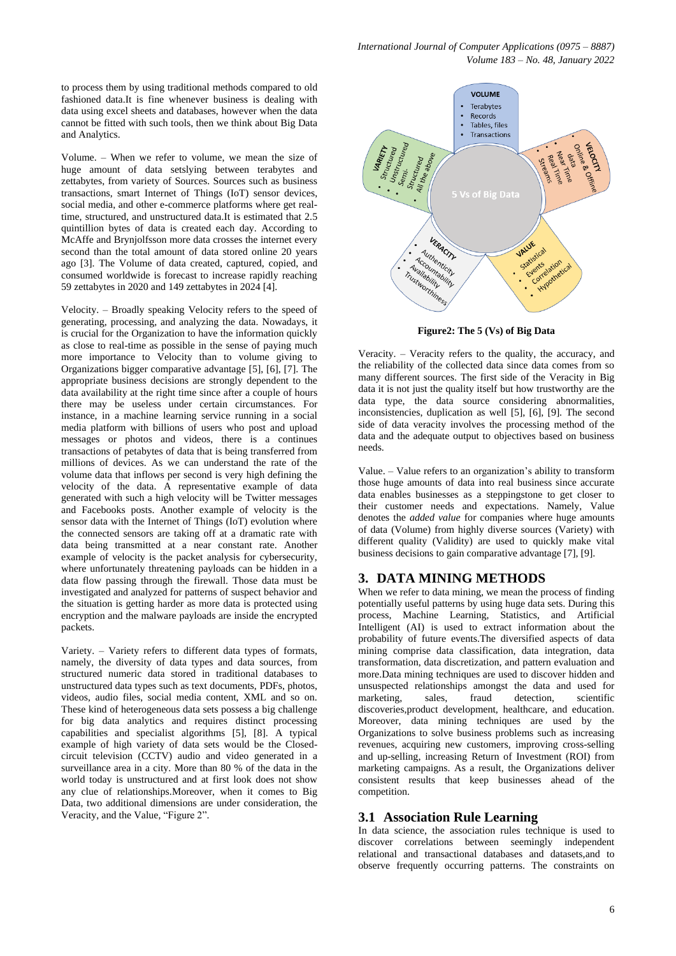*International Journal of Computer Applications (0975 – 8887) Volume 183 – No. 48, January 2022*

to process them by using traditional methods compared to old fashioned data.It is fine whenever business is dealing with data using excel sheets and databases, however when the data cannot be fitted with such tools, then we think about Big Data and Analytics.

Volume. – When we refer to volume, we mean the size of huge amount of data setslying between terabytes and zettabytes, from variety of Sources. Sources such as business transactions, smart Internet of Things (IoT) sensor devices, social media, and other e-commerce platforms where get realtime, structured, and unstructured data.It is estimated that 2.5 quintillion bytes of data is created each day. According to McAffe and Brynjolfsson more data crosses the internet every second than the total amount of data stored online 20 years ago [3]. The Volume of data created, captured, copied, and consumed worldwide is forecast to increase rapidly reaching 59 zettabytes in 2020 and 149 zettabytes in 2024 [4].

Velocity. – Broadly speaking Velocity refers to the speed of generating, processing, and analyzing the data. Nowadays, it is crucial for the Organization to have the information quickly as close to real-time as possible in the sense of paying much more importance to Velocity than to volume giving to Organizations bigger comparative advantage [5], [6], [7]. The appropriate business decisions are strongly dependent to the data availability at the right time since after a couple of hours there may be useless under certain circumstances. For instance, in a machine learning service running in a social media platform with billions of users who post and upload messages or photos and videos, there is a continues transactions of petabytes of data that is being transferred from millions of devices. As we can understand the rate of the volume data that inflows per second is very high defining the velocity of the data. A representative example of data generated with such a high velocity will be Twitter messages and Facebooks posts. Another example of velocity is the sensor data with the Internet of Things (IoT) evolution where the connected sensors are taking off at a dramatic rate with data being transmitted at a near constant rate. Another example of velocity is the packet analysis for cybersecurity, where unfortunately threatening payloads can be hidden in a data flow passing through the firewall. Those data must be investigated and analyzed for patterns of suspect behavior and the situation is getting harder as more data is protected using encryption and the malware payloads are inside the encrypted packets.

Variety. – Variety refers to different data types of formats, namely, the diversity of data types and data sources, from structured numeric data stored in traditional databases to unstructured data types such as text documents, PDFs, photos, videos, audio files, social media content, XML and so on. These kind of heterogeneous data sets possess a big challenge for big data analytics and requires distinct processing capabilities and specialist algorithms [5], [8]. A typical example of high variety of data sets would be the Closedcircuit television (CCTV) audio and video generated in a surveillance area in a city. More than 80 % of the data in the world today is unstructured and at first look does not show any clue of relationships.Moreover, when it comes to Big Data, two additional dimensions are under consideration, the Veracity, and the Value, "Figure 2".



**Figure2: The 5 (Vs) of Big Data**

Veracity. – Veracity refers to the quality, the accuracy, and the reliability of the collected data since data comes from so many different sources. The first side of the Veracity in Big data it is not just the quality itself but how trustworthy are the data type, the data source considering abnormalities, inconsistencies, duplication as well [5], [6], [9]. The second side of data veracity involves the processing method of the data and the adequate output to objectives based on business needs.

Value. – Value refers to an organization's ability to transform those huge amounts of data into real business since accurate data enables businesses as a steppingstone to get closer to their customer needs and expectations. Namely, Value denotes the *added value* for companies where huge amounts of data (Volume) from highly diverse sources (Variety) with different quality (Validity) are used to quickly make vital business decisions to gain comparative advantage [7], [9].

## **3. DATA MINING METHODS**

When we refer to data mining, we mean the process of finding potentially useful patterns by using huge data sets. During this process, Machine Learning, Statistics, and Artificial Intelligent (AI) is used to extract information about the probability of future events.The diversified aspects of data mining comprise data classification, data integration, data transformation, data discretization, and pattern evaluation and more.Data mining techniques are used to discover hidden and unsuspected relationships amongst the data and used for marketing, sales, fraud detection, scientific discoveries,product development, healthcare, and education. Moreover, data mining techniques are used by the Organizations to solve business problems such as increasing revenues, acquiring new customers, improving cross-selling and up-selling, increasing Return of Investment (ROI) from marketing campaigns. As a result, the Organizations deliver consistent results that keep businesses ahead of the competition.

#### **3.1 Association Rule Learning**

In data science, the association rules technique is used to discover correlations between seemingly independent relational and transactional databases and datasets,and to observe frequently occurring patterns. The constraints on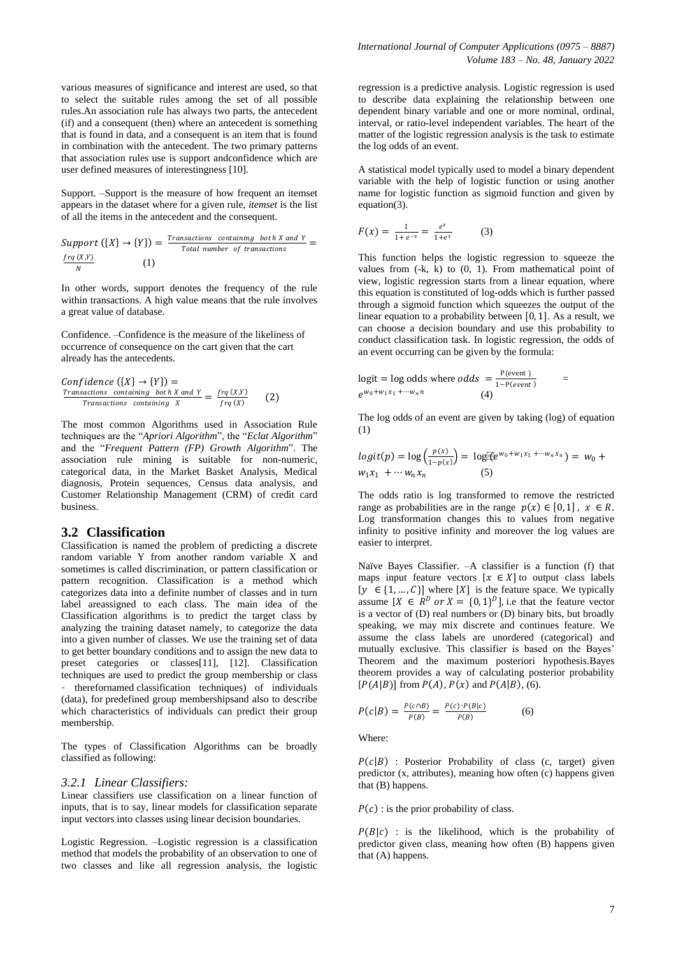various measures of significance and interest are used, so that to select the suitable rules among the set of all possible rules.An association rule has always two parts, the antecedent (if) and a consequent (then) where an antecedent is something that is found in data, and a consequent is an item that is found in combination with the antecedent. The two primary patterns that association rules use is support andconfidence which are user defined measures of interestingness [10].

Support. –Support is the measure of how frequent an itemset appears in the dataset where for a given rule, *itemset* is the list of all the items in the antecedent and the consequent.

Support  $(\{X\} \to \{Y\}) = \frac{Transactions \ containing \ both \ X \ and \ Y}{Total \ number \ of \ transitions}$ Total number of transactions  $frq(X,Y)$ N (1)

In other words, support denotes the frequency of the rule within transactions. A high value means that the rule involves a great value of database.

Confidence. –Confidence is the measure of the likeliness of occurrence of consequence on the cart given that the cart already has the antecedents.

Confidence 
$$
(\lbrace X \rbrace \rightarrow \lbrace Y \rbrace)
$$
 =  
\n*Transactions containing both X and Y* =  $\frac{fq(X,Y)}{fq(X)}$  (2)

The most common Algorithms used in Association Rule techniques are the "Apriori Algorithm", the "Eclat Algorithm" and the "Frequent Pattern (FP) Growth Algorithm". The association rule mining is suitable for non-numeric, categorical data, in the Market Basket Analysis, Medical diagnosis, Protein sequences, Census data analysis, and Customer Relationship Management (CRM) of credit card business.

#### **3.2 Classification**

Classification is named the problem of predicting a discrete random variable Y from another random variable X and sometimes is called discrimination, or pattern classification or pattern recognition. Classification is a method which categorizes data into a definite number of classes and in turn label areassigned to each class. The main idea of the Classification algorithms is to predict the target class by analyzing the training dataset namely, to categorize the data into a given number of classes. We use the training set of data to get better boundary conditions and to assign the new data to preset categories or classes[11], [12]. Classification techniques are used to predict the group membership or class therefornamed classification techniques) of individuals (data), for predefined group membershipsand also to describe which characteristics of individuals can predict their group membership.

The types of Classification Algorithms can be broadly classified as following:

#### *3.2.1 Linear Classifiers:*

Linear classifiers use classification on a linear function of inputs, that is to say, linear models for classification separate input vectors into classes using linear decision boundaries.

Logistic Regression. –Logistic regression is a classification method that models the probability of an observation to one of two classes and like all regression analysis, the logistic

regression is a predictive analysis. Logistic regression is used to describe data explaining the relationship between one dependent binary variable and one or more nominal, ordinal, interval, or ratio-level independent variables. The heart of the matter of the logistic regression analysis is the task to estimate the log odds of an event.

A statistical model typically used to model a binary dependent variable with the help of logistic function or using another name for logistic function as sigmoid function and given by equation(3).

$$
F(x) = \frac{1}{1 + e^{-x}} = \frac{e^x}{1 + e^x} \tag{3}
$$

This function helps the logistic regression to squeeze the values from  $(-k, k)$  to  $(0, 1)$ . From mathematical point of view, logistic regression starts from a linear equation, where this equation is constituted of log-odds which is further passed through a sigmoid function which squeezes the output of the linear equation to a probability between  $[0, 1]$ . As a result, we can choose a decision boundary and use this probability to conduct classification task. In logistic regression, the odds of an event occurring can be given by the formula:

$$
logit = log odds where odds = \frac{P(event)}{1 - P(event)} =
$$
  

$$
e^{w_0 + w_1 x_1 + \cdots + w_n n}
$$
 (4)

The log odds of an event are given by taking (log) of equation (1)

$$
logit(p) = log\left(\frac{p(x)}{1-p(x)}\right) = log[(e^{w_0 + w_1 x_1 + \cdots + w_n x_n})] = w_0 + w_1 x_1 + \cdots + w_n x_n
$$
 (5)

The odds ratio is log transformed to remove the restricted range as probabilities are in the range  $p(x) \in [0, 1]$ ,  $x \in R$ . Log transformation changes this to values from negative infinity to positive infinity and moreover the log values are easier to interpret.

Naïve Bayes Classifier. –A classifier is a function (f) that maps input feature vectors  $[x \in X]$  to output class labels  $[y \in \{1, ..., C\}]$  where  $[X]$  is the feature space. We typically assume  $[X \in R^D$  or  $X = \{0, 1\}^D$ , i.e that the feature vector is a vector of (D) real numbers or (D) binary bits, but broadly speaking, we may mix discrete and continues feature. We assume the class labels are unordered (categorical) and mutually exclusive. This classifier is based on the Bayes' Theorem and the maximum posteriori hypothesis.Bayes theorem provides a way of calculating posterior probability  $[P(A|B)]$  from  $P(A)$ ,  $P(x)$  and  $P(A|B)$ , (6).

$$
P(c|B) = \frac{P(c \cap B)}{P(B)} = \frac{P(c) \cdot P(B|c)}{P(B)}
$$
(6)

Where:

 $P(c|B)$ : Posterior Probability of class (c, target) given predictor (x, attributes), meaning how often (c) happens given that (B) happens.

 $P(c)$ : is the prior probability of class.

 $P(B|c)$  : is the likelihood, which is the probability of predictor given class, meaning how often (B) happens given that (A) happens.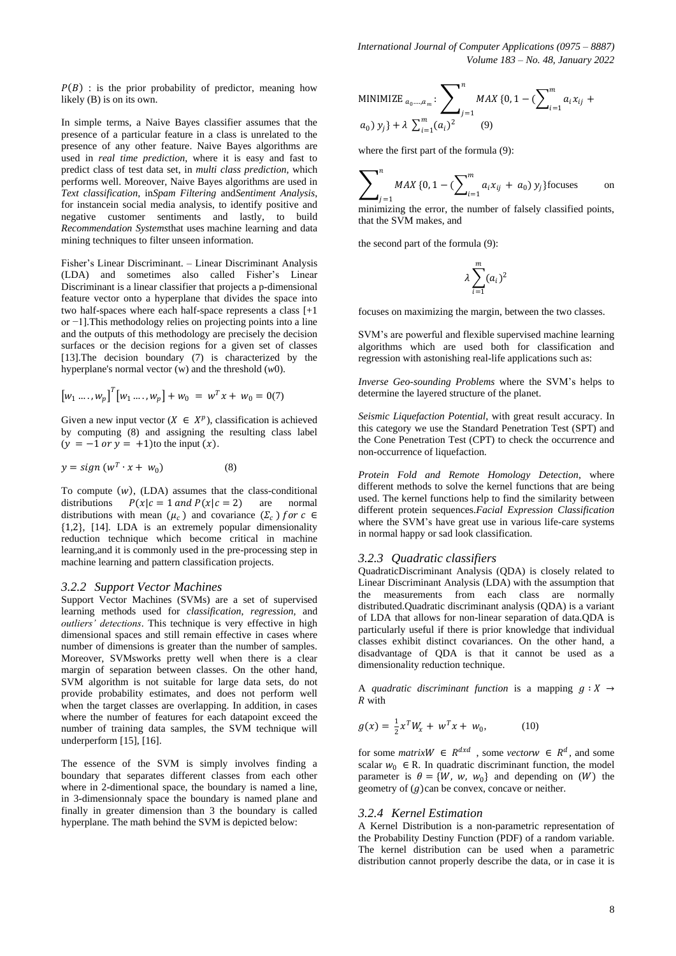$P(B)$ : is the prior probability of predictor, meaning how likely (B) is on its own.

In simple terms, a Naive Bayes classifier assumes that the presence of a particular feature in a class is unrelated to the presence of any other feature. Naive Bayes algorithms are used in *real time prediction*, where it is easy and fast to predict class of test data set, in *multi class prediction*, which performs well. Moreover, Naive Bayes algorithms are used in *Text classification*, in*Spam Filtering* and*Sentiment Analysis*, for instancein social media analysis, to identify positive and negative customer sentiments and lastly, to build *Recommendation Systems*that uses machine learning and data mining techniques to filter unseen information.

Fisher's Linear Discriminant. – Linear Discriminant Analysis (LDA) and sometimes also called Fisher's Linear Discriminant is a linear classifier that projects a p-dimensional feature vector onto a hyperplane that divides the space into two half-spaces where each half-space represents a class [+1 or −1].This methodology relies on projecting points into a line and the outputs of this methodology are precisely the decision surfaces or the decision regions for a given set of classes [13].The decision boundary (7) is characterized by the hyperplane's normal vector (w) and the threshold (*w*0).

$$
[w_1 \dots, w_p]^T [w_1 \dots, w_p] + w_0 = w^T x + w_0 = 0(7)
$$

Given a new input vector  $(X \in X^p)$ , classification is achieved by computing (8) and assigning the resulting class label  $(y = -1 \text{ or } y = +1)$ to the input  $(x)$ .

$$
y = sign (w^T \cdot x + w_0) \tag{8}
$$

To compute  $(w)$ , (LDA) assumes that the class-conditional distributions  $P(x|c = 1$  and  $P(x|c = 2)$  are normal distributions with mean  $(\mu_c)$  and covariance  $(\Sigma_c)$  for  $c \in$ {1,2}, [14]. LDA is an extremely popular dimensionality reduction technique which become critical in machine learning,and it is commonly used in the pre-processing step in machine learning and pattern classification projects.

#### *3.2.2 Support Vector Machines*

Support Vector Machines (SVMs) are a set of supervised learning methods used for *classification*, *regression,* and *outliers' detections*. This technique is very effective in high dimensional spaces and still remain effective in cases where number of dimensions is greater than the number of samples. Moreover, SVMsworks pretty well when there is a clear margin of separation between classes. On the other hand, SVM algorithm is not suitable for large data sets, do not provide probability estimates, and does not perform well when the target classes are overlapping. In addition, in cases where the number of features for each datapoint exceed the number of training data samples, the SVM technique will underperform [15], [16].

The essence of the SVM is simply involves finding a boundary that separates different classes from each other where in 2-dimentional space, the boundary is named a line, in 3-dimensionnaly space the boundary is named plane and finally in greater dimension than 3 the boundary is called hyperplane. The math behind the SVM is depicted below:

MINIMIZE 
$$
a_0 \dots a_m
$$
:  $\sum_{j=1}^n MAX \{0, 1 - (\sum_{i=1}^m a_i x_{ij} + a_0) y_j\} + \lambda \sum_{i=1}^m (a_i)^2$  (9)

where the first part of the formula (9):

$$
\sum_{j=1}^{n} MAX\{0, 1 - (\sum_{i=1}^{m} a_i x_{ij} + a_0) y_j\}
$$
 focuses on

minimizing the error, the number of falsely classified points, that the SVM makes, and

the second part of the formula (9):

$$
\lambda \sum_{i=1}^m (a_i)^2
$$

focuses on maximizing the margin, between the two classes.

SVM's are powerful and flexible supervised machine learning algorithms which are used both for classification and regression with astonishing real-life applications such as:

*Inverse Geo-sounding Problems* where the SVM's helps to determine the layered structure of the planet.

*Seismic Liquefaction Potential*, with great result accuracy. In this category we use the Standard Penetration Test (SPT) and the Cone Penetration Test (CPT) to check the occurrence and non-occurrence of liquefaction.

*Protein Fold and Remote Homology Detection*, where different methods to solve the kernel functions that are being used. The kernel functions help to find the similarity between different protein sequences.*Facial Expression Classification* where the SVM's have great use in various life-care systems in normal happy or sad look classification.

## *3.2.3 Quadratic classifiers*

QuadraticDiscriminant Analysis (QDA) is closely related to Linear Discriminant Analysis (LDA) with the assumption that the measurements from each class are normally distributed.Quadratic discriminant analysis (QDA) is a variant of LDA that allows for non-linear separation of data.QDA is particularly useful if there is prior knowledge that individual classes exhibit distinct covariances. On the other hand, a disadvantage of QDA is that it cannot be used as a dimensionality reduction technique.

A *quadratic discriminant function* is a mapping  $q : X \rightarrow$ with

$$
g(x) = \frac{1}{2}x^T W_x + w^T x + w_0, \qquad (10)
$$

for some *matrix* $W \in R^{dxd}$ , some *vector* $W \in R^d$ , and some scalar  $w_0 \in R$ . In quadratic discriminant function, the model parameter is  $\theta = \{W, w, w_0\}$  and depending on  $(W)$  the geometry of  $(g)$ can be convex, concave or neither.

#### *3.2.4 Kernel Estimation*

A Kernel Distribution is a non-parametric representation of the Probability Destiny Function (PDF) of a random variable. The kernel distribution can be used when a parametric distribution cannot properly describe the data, or in case it is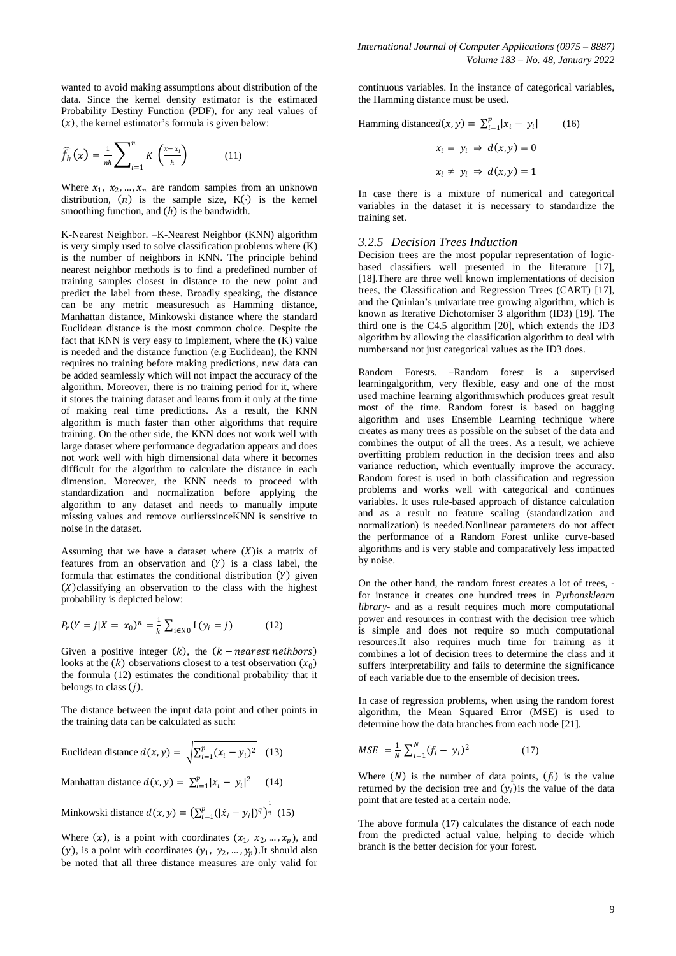wanted to avoid making assumptions about distribution of the data. Since the kernel density estimator is the estimated Probability Destiny Function (PDF), for any real values of  $(x)$ , the kernel estimator's formula is given below:

$$
\widehat{f}_h(x) = \frac{1}{nh} \sum_{i=1}^n K\left(\frac{x - x_i}{h}\right) \tag{11}
$$

Where  $x_1, x_2, ..., x_n$  are random samples from an unknown distribution,  $(n)$  is the sample size,  $K(\cdot)$  is the kernel smoothing function, and  $(h)$  is the bandwidth.

K-Nearest Neighbor. –K-Nearest Neighbor (KNN) algorithm is very simply used to solve classification problems where (K) is the number of neighbors in KNN. The principle behind nearest neighbor methods is to find a predefined number of training samples closest in distance to the new point and predict the label from these. Broadly speaking, the distance can be any metric measuresuch as Hamming distance, Manhattan distance, Minkowski distance where the standard Euclidean distance is the most common choice. Despite the fact that KNN is very easy to implement, where the  $(K)$  value is needed and the distance function (e.g Euclidean), the KNN requires no training before making predictions, new data can be added seamlessly which will not impact the accuracy of the algorithm. Moreover, there is no training period for it, where it stores the training dataset and learns from it only at the time of making real time predictions. As a result, the KNN algorithm is much faster than other algorithms that require training. On the other side, the KNN does not work well with large dataset where performance degradation appears and does not work well with high dimensional data where it becomes difficult for the algorithm to calculate the distance in each dimension. Moreover, the KNN needs to proceed with standardization and normalization before applying the algorithm to any dataset and needs to manually impute missing values and remove outlierssinceKNN is sensitive to noise in the dataset.

Assuming that we have a dataset where  $(X)$  is a matrix of features from an observation and  $(Y)$  is a class label, the formula that estimates the conditional distribution  $(Y)$  given  $(X)$ classifying an observation to the class with the highest probability is depicted below:

$$
P_r(Y = j | X = x_0)^n = \frac{1}{k} \sum_{i \in \mathbb{N}^0} I(y_i = j)
$$
 (12)

Given a positive integer  $(k)$ , the  $(k - nearest neighbors)$ looks at the  $(k)$  observations closest to a test observation  $(x_0)$ the formula (12) estimates the conditional probability that it belongs to class  $(j)$ .

The distance between the input data point and other points in the training data can be calculated as such:

Euclidean distance 
$$
d(x, y) = \sqrt{\sum_{i=1}^{p} (x_i - y_i)^2}
$$
 (13)

Manhattan distance  $d(x, y) = \sum_{i=1}^{p} |x_i - y_i|^2$  (14)

Minkowski distance  $d(x, y) = (\sum_{i=1}^{p} (|\dot{x}_i - y_i|)^q)^{\frac{1}{q}}$  (15)

Where  $(x)$ , is a point with coordinates  $(x_1, x_2, ..., x_p)$ , and (y), is a point with coordinates  $(y_1, y_2, ..., y_p)$ . It should also be noted that all three distance measures are only valid for

continuous variables. In the instance of categorical variables, the Hamming distance must be used.

Hamming distance
$$
d(x, y) = \sum_{i=1}^{p} |x_i - y_i|
$$
 (16)  
 $x_i = y_i \Rightarrow d(x, y) = 0$   
 $x_i \neq y_i \Rightarrow d(x, y) = 1$ 

In case there is a mixture of numerical and categorical variables in the dataset it is necessary to standardize the training set.

#### *3.2.5 Decision Trees Induction*

Decision trees are the most popular representation of logicbased classifiers well presented in the literature [17], [18].There are three well known implementations of decision trees, the Classification and Regression Trees (CART) [17], and the Quinlan's univariate tree growing algorithm, which is known as Iterative Dichotomiser 3 algorithm (ID3) [19]. The third one is the C4.5 algorithm [20], which extends the ID3 algorithm by allowing the classification algorithm to deal with numbersand not just categorical values as the ID3 does.

Random Forests. –Random forest is a supervised learningalgorithm, very flexible, easy and one of the most used machine learning algorithmswhich produces great result most of the time. Random forest is based on bagging algorithm and uses Ensemble Learning technique where creates as many trees as possible on the subset of the data and combines the output of all the trees. As a result, we achieve overfitting problem reduction in the decision trees and also variance reduction, which eventually improve the accuracy. Random forest is used in both classification and regression problems and works well with categorical and continues variables. It uses rule-based approach of distance calculation and as a result no feature scaling (standardization and normalization) is needed.Nonlinear parameters do not affect the performance of a Random Forest unlike curve-based algorithms and is very stable and comparatively less impacted by noise.

On the other hand, the random forest creates a lot of trees, for instance it creates one hundred trees in *Pythonsklearn library-* and as a result requires much more computational power and resources in contrast with the decision tree which is simple and does not require so much computational resources.It also requires much time for training as it combines a lot of decision trees to determine the class and it suffers interpretability and fails to determine the significance of each variable due to the ensemble of decision trees.

In case of regression problems, when using the random forest algorithm, the Mean Squared Error (MSE) is used to determine how the data branches from each node [21].

$$
MSE = \frac{1}{N} \sum_{i=1}^{N} (f_i - y_i)^2
$$
 (17)

Where  $(N)$  is the number of data points,  $(f_i)$  is the value returned by the decision tree and  $(y<sub>i</sub>)$  is the value of the data point that are tested at a certain node.

The above formula (17) calculates the distance of each node from the predicted actual value, helping to decide which branch is the better decision for your forest.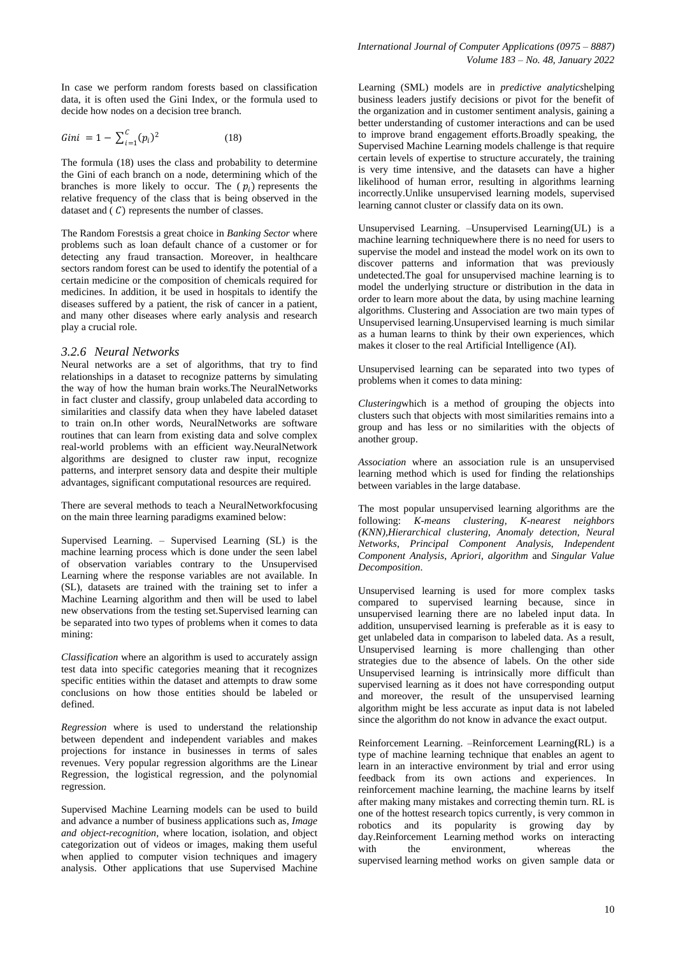In case we perform random forests based on classification data, it is often used the Gini Index, or the formula used to decide how nodes on a decision tree branch.

$$
Gini = 1 - \sum_{i=1}^{C} (p_i)^2
$$
 (18)

The formula (18) uses the class and probability to determine the Gini of each branch on a node, determining which of the branches is more likely to occur. The  $(p_i)$  represents the relative frequency of the class that is being observed in the dataset and  $(C)$  represents the number of classes.

The Random Forestsis a great choice in *Banking Sector* where problems such as loan default chance of a customer or for detecting any fraud transaction. Moreover, in healthcare sectors random forest can be used to identify the potential of a certain medicine or the composition of chemicals required for medicines. In addition, it be used in hospitals to identify the diseases suffered by a patient, the risk of cancer in a patient, and many other diseases where early analysis and research play a crucial role.

# *3.2.6 Neural Networks*

Neural networks are a set of algorithms, that try to find relationships in a dataset to recognize patterns by simulating the way of how the human brain works.The NeuralNetworks in fact cluster and classify, group unlabeled data according to similarities and classify data when they have labeled dataset to train on.In other words, NeuralNetworks are software routines that can learn from existing data and solve complex real-world problems with an efficient way.NeuralNetwork algorithms are designed to cluster raw input, recognize patterns, and interpret sensory data and despite their multiple advantages, significant computational resources are required.

There are several methods to teach a NeuralNetworkfocusing on the main three learning paradigms examined below:

Supervised Learning. – Supervised Learning (SL) is the machine learning process which is done under the seen label of observation variables contrary to the Unsupervised Learning where the response variables are not available. In (SL), datasets are trained with the training set to infer a Machine Learning algorithm and then will be used to label new observations from the testing set.Supervised learning can be separated into two types of problems when it comes to data mining:

*Classification* where an algorithm is used to accurately assign test data into specific categories meaning that it recognizes specific entities within the dataset and attempts to draw some conclusions on how those entities should be labeled or defined.

*Regression* where is used to understand the relationship between dependent and independent variables and makes projections for instance in businesses in terms of sales revenues. Very popular regression algorithms are the Linear Regression, the logistical regression, and the polynomial regression.

Supervised Machine Learning models can be used to build and advance a number of business applications such as, *Image and object-recognition,* where location, isolation, and object categorization out of videos or images, making them useful when applied to computer vision techniques and imagery analysis. Other applications that use Supervised Machine

Learning (SML) models are in *predictive analytics*helping business leaders justify decisions or pivot for the benefit of the organization and in customer sentiment analysis, gaining a better understanding of customer interactions and can be used to improve brand engagement efforts.Broadly speaking, the Supervised Machine Learning models challenge is that require certain levels of expertise to structure accurately, the training is very time intensive, and the datasets can have a higher likelihood of human error, resulting in algorithms learning incorrectly.Unlike unsupervised learning models, supervised learning cannot cluster or classify data on its own.

Unsupervised Learning. –Unsupervised Learning(UL) is a machine learning techniquewhere there is no need for users to supervise the model and instead the model work on its own to discover patterns and information that was previously undetected.The goal for unsupervised machine learning is to model the underlying structure or distribution in the data in order to learn more about the data, by using machine learning algorithms. Clustering and Association are two main types of Unsupervised learning.Unsupervised learning is much similar as a human learns to think by their own experiences, which makes it closer to the real Artificial Intelligence (AI).

Unsupervised learning can be separated into two types of problems when it comes to data mining:

*Clustering*which is a method of grouping the objects into clusters such that objects with most similarities remains into a group and has less or no similarities with the objects of another group.

*Association* where an association rule is an unsupervised learning method which is used for finding the relationships between variables in the large database.

The most popular unsupervised learning algorithms are the following: *K-means clustering*, *K-nearest neighbors (KNN),Hierarchical clustering*, *Anomaly detection*, *Neural Networks*, *Principal Component Analysis*, *Independent Component Analysis*, *Apriori, algorithm* and *Singular Value Decomposition*.

Unsupervised learning is used for more complex tasks compared to supervised learning because, since in unsupervised learning there are no labeled input data. In addition, unsupervised learning is preferable as it is easy to get unlabeled data in comparison to labeled data. As a result, Unsupervised learning is more challenging than other strategies due to the absence of labels. On the other side Unsupervised learning is intrinsically more difficult than supervised learning as it does not have corresponding output and moreover, the result of the unsupervised learning algorithm might be less accurate as input data is not labeled since the algorithm do not know in advance the exact output.

Reinforcement Learning. –Reinforcement Learning**(**RL) is a type of machine learning technique that enables an agent to learn in an interactive environment by trial and error using feedback from its own actions and experiences. In reinforcement machine learning, the machine learns by itself after making many mistakes and correcting themin turn. RL is one of the hottest research topics currently, is very common in robotics and its popularity is growing day by day.Reinforcement Learning method works on interacting with the environment, whereas the supervised learning method works on given sample data or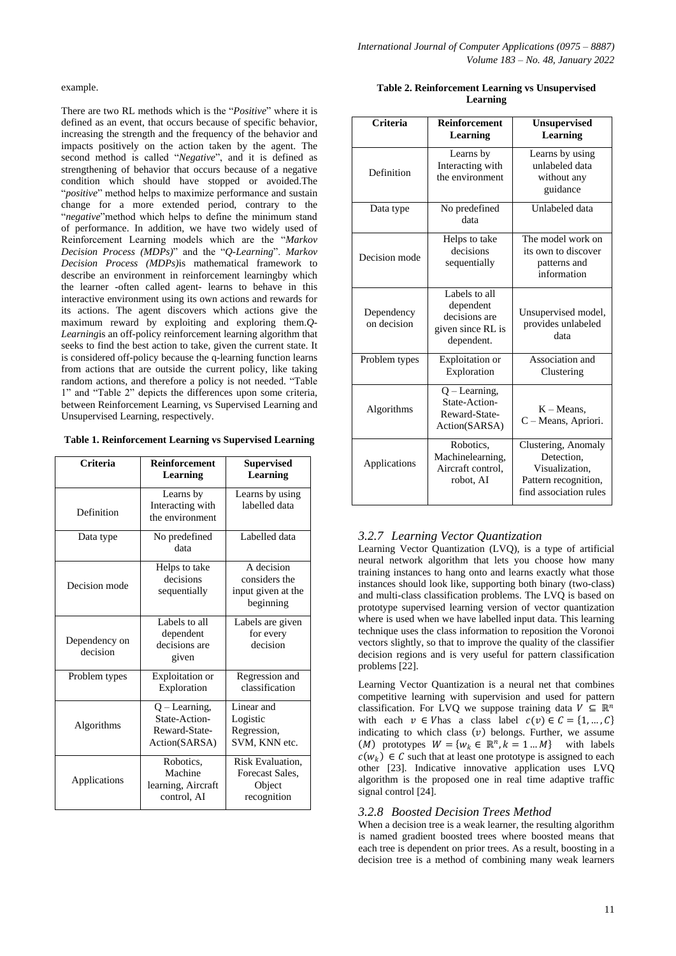There are two RL methods which is the "*Positive*" where it is defined as an event, that occurs because of specific behavior, increasing the strength and the frequency of the behavior and impacts positively on the action taken by the agent. The second method is called "*Negative*", and it is defined as strengthening of behavior that occurs because of a negative condition which should have stopped or avoided.The "*positive*" method helps to maximize performance and sustain change for a more extended period, contrary to the "negative" method which helps to define the minimum stand of performance. In addition, we have two widely used of Reinforcement Learning models which are the "Markov *Decision Process (MDPs)*‖ and the ―*Q-Learning*‖. *Markov Decision Process (MDPs)*is mathematical framework to describe an environment in reinforcement learningby which the learner -often called agent- learns to behave in this interactive environment using its own actions and rewards for its actions. The agent discovers which actions give the maximum reward by exploiting and exploring them.*Q-Learning*is an off-policy reinforcement learning algorithm that seeks to find the best action to take, given the current state. It is considered off-policy because the q-learning function learns from actions that are outside the current policy, like taking random actions, and therefore a policy is not needed. "Table 1" and "Table 2" depicts the differences upon some criteria, between Reinforcement Learning, vs Supervised Learning and Unsupervised Learning, respectively.

|  |  | Table 1. Reinforcement Learning vs Supervised Learning |  |  |  |
|--|--|--------------------------------------------------------|--|--|--|
|--|--|--------------------------------------------------------|--|--|--|

| Criteria                  | Reinforcement<br>Learning                                          | <b>Supervised</b><br>Learning                                  |
|---------------------------|--------------------------------------------------------------------|----------------------------------------------------------------|
| Definition                | Learns by<br>Interacting with<br>the environment                   | Learns by using<br>labelled data                               |
| Data type                 | No predefined<br>data                                              | Labelled data                                                  |
| Decision mode             | Helps to take<br>decisions<br>sequentially                         | A decision<br>considers the<br>input given at the<br>beginning |
| Dependency on<br>decision | Labels to all<br>dependent<br>decisions are<br>given               | Labels are given<br>for every<br>decision                      |
| Problem types             | Exploitation or<br>Exploration                                     | Regression and<br>classification                               |
| Algorithms                | $Q$ – Learning,<br>State-Action-<br>Reward-State-<br>Action(SARSA) | Linear and<br>Logistic<br>Regression,<br>SVM, KNN etc.         |
| Applications              | Robotics,<br>Machine<br>learning, Aircraft<br>control, AI          | Risk Evaluation,<br>Forecast Sales.<br>Object<br>recognition   |

| Table 2. Reinforcement Learning vs Unsupervised |
|-------------------------------------------------|
| Learning                                        |

| Criteria                                                    | <b>Reinforcement</b><br>Learning                                               | <b>Unsupervised</b><br>Learning                                                                       |
|-------------------------------------------------------------|--------------------------------------------------------------------------------|-------------------------------------------------------------------------------------------------------|
| Definition                                                  | Learns by<br>Interacting with<br>the environment                               | Learns by using<br>unlabeled data<br>without any<br>guidance                                          |
| Data type                                                   | No predefined<br>data                                                          | Unlabeled data                                                                                        |
| Helps to take<br>decisions<br>Decision mode<br>sequentially |                                                                                | The model work on<br>its own to discover<br>patterns and<br>information                               |
| Dependency<br>on decision                                   | Labels to all<br>dependent<br>decisions are<br>given since RL is<br>dependent. | Unsupervised model,<br>provides unlabeled<br>data                                                     |
| Problem types                                               | Exploitation or<br>Exploration                                                 | Association and<br>Clustering                                                                         |
| Algorithms                                                  | $Q$ – Learning,<br>State-Action-<br>Reward-State-<br>Action(SARSA)             | $K - Means$ ,<br>C - Means, Apriori.                                                                  |
| Applications                                                | Robotics.<br>Machinelearning,<br>Aircraft control.<br>robot, AI                | Clustering, Anomaly<br>Detection.<br>Visualization,<br>Pattern recognition,<br>find association rules |

## *3.2.7 Learning Vector Quantization*

Learning Vector Quantization (LVQ), is a type of artificial neural network algorithm that lets you choose how many training instances to hang onto and learns exactly what those instances should look like, supporting both binary (two-class) and multi-class classification problems. The LVQ is based on prototype supervised learning version of vector quantization where is used when we have labelled input data. This learning technique uses the class information to reposition the Voronoi vectors slightly, so that to improve the quality of the classifier decision regions and is very useful for pattern classification problems [22].

Learning Vector Quantization is a neural net that combines competitive learning with supervision and used for pattern classification. For LVQ we suppose training data  $V \subseteq \mathbb{R}^n$ with each  $v \in V$  has a class label  $c(v) \in C = \{1, ..., C\}$ indicating to which class  $(v)$  belongs. Further, we assume  $(M)$  prototypes  $W = \{w_k \in \mathbb{R}^n, k = 1...M\}$  with labels  $c(w_k) \in \mathcal{C}$  such that at least one prototype is assigned to each other [23]. Indicative innovative application uses LVQ algorithm is the proposed one in real time adaptive traffic signal control [24].

#### *3.2.8 Boosted Decision Trees Method*

When a decision tree is a weak learner, the resulting algorithm is named gradient boosted trees where boosted means that each tree is dependent on prior trees. As a result, boosting in a decision tree is a method of combining many weak learners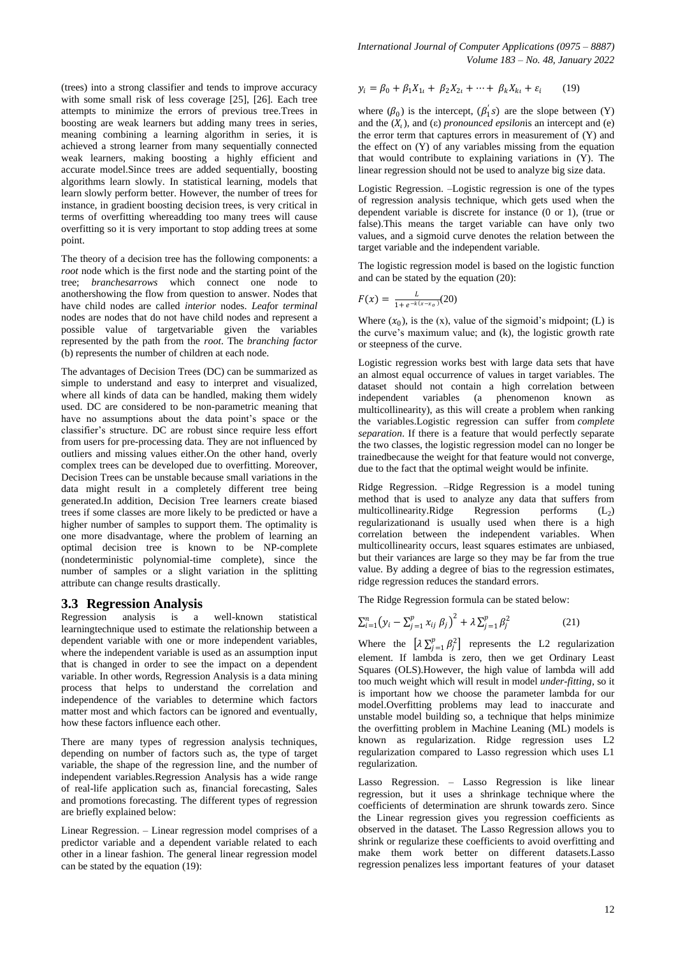(trees) into a strong classifier and tends to improve accuracy with some small risk of less coverage [25], [26]. Each tree attempts to minimize the errors of previous tree.Trees in boosting are weak learners but adding many trees in series, meaning combining a learning algorithm in series, it is achieved a strong learner from many sequentially connected weak learners, making boosting a highly efficient and accurate model.Since trees are added sequentially, boosting algorithms learn slowly. In statistical learning, models that learn slowly perform better. However, the number of trees for instance, in gradient boosting decision trees, is very critical in terms of overfitting whereadding too many trees will cause overfitting so it is very important to stop adding trees at some point.

The theory of a decision tree has the following components: a *root* node which is the first node and the starting point of the tree; *branchesarrows* which connect one node to anothershowing the flow from question to answer. Nodes that have child nodes are called *interior* nodes. *Leaf*or *terminal* nodes are nodes that do not have child nodes and represent a possible value of targetvariable given the variables represented by the path from the *root*. The *branching factor* (b) represents the number of children at each node.

The advantages of Decision Trees (DC) can be summarized as simple to understand and easy to interpret and visualized, where all kinds of data can be handled, making them widely used. DC are considered to be non-parametric meaning that have no assumptions about the data point's space or the classifier's structure. DC are robust since require less effort from users for pre-processing data. They are not influenced by outliers and missing values either.On the other hand, overly complex trees can be developed due to overfitting. Moreover, Decision Trees can be unstable because small variations in the data might result in a completely different tree being generated.In addition, Decision Tree learners create biased trees if some classes are more likely to be predicted or have a higher number of samples to support them. The optimality is one more disadvantage, where the problem of learning an optimal decision tree is known to be NP-complete (nondeterministic polynomial-time complete), since the number of samples or a slight variation in the splitting attribute can change results drastically.

#### **3.3 Regression Analysis**

Regression analysis is a well-known statistical learningtechnique used to estimate the relationship between a dependent variable with one or more independent variables, where the independent variable is used as an assumption input that is changed in order to see the impact on a dependent variable. In other words, Regression Analysis is a data mining process that helps to understand the correlation and independence of the variables to determine which factors matter most and which factors can be ignored and eventually, how these factors influence each other.

There are many types of regression analysis techniques, depending on number of factors such as, the type of target variable, the shape of the regression line, and the number of independent variables.Regression Analysis has a wide range of real-life application such as, financial forecasting, Sales and promotions forecasting. The different types of regression are briefly explained below:

Linear Regression. – Linear regression model comprises of a predictor variable and a dependent variable related to each other in a linear fashion. The general linear regression model can be stated by the equation (19):

*International Journal of Computer Applications (0975 – 8887) Volume 183 – No. 48, January 2022*

$$
y_i = \beta_0 + \beta_1 X_{1i} + \beta_2 X_{2i} + \dots + \beta_k X_{ki} + \varepsilon_i \tag{19}
$$

where  $(\beta_0)$  is the intercept,  $(\beta'_1 s)$  are the slope between (Y) and the  $(X_t)$ , and  $(\varepsilon)$  *pronounced epsilonis* an intercept and  $(\varepsilon)$ the error term that captures errors in measurement of (Y) and the effect on  $(Y)$  of any variables missing from the equation that would contribute to explaining variations in  $(Y)$ . The linear regression should not be used to analyze big size data.

Logistic Regression. –Logistic regression is one of the types of regression analysis technique, which gets used when the dependent variable is discrete for instance (0 or 1), (true or false).This means the target variable can have only two values, and a sigmoid curve denotes the relation between the target variable and the independent variable.

The logistic regression model is based on the logistic function and can be stated by the equation (20):

$$
F(x) = \frac{L}{1 + e^{-k(x - x_0)}}(20)
$$

Where  $(x_0)$ , is the  $(x)$ , value of the sigmoid's midpoint;  $(L)$  is the curve's maximum value; and (k), the logistic growth rate or steepness of the curve.

Logistic regression works best with large data sets that have an almost equal occurrence of values in target variables. The dataset should not contain a high correlation between independent variables (a phenomenon known as multicollinearity), as this will create a problem when ranking the variables.Logistic regression can suffer from *complete separation*. If there is a feature that would perfectly separate the two classes, the logistic regression model can no longer be trainedbecause the weight for that feature would not converge, due to the fact that the optimal weight would be infinite.

Ridge Regression. –Ridge Regression is a model tuning method that is used to analyze any data that suffers from multicollinearity.Ridge Regression performs  $(L_2)$ regularizationand is usually used when there is a high correlation between the independent variables. When multicollinearity occurs, least squares estimates are unbiased. but their variances are large so they may be far from the true value. By adding a degree of bias to the regression estimates, ridge regression reduces the standard errors.

The Ridge Regression formula can be stated below:

$$
\sum_{i=1}^{n} \left( y_i - \sum_{j=1}^{p} x_{ij} \beta_j \right)^2 + \lambda \sum_{j=1}^{p} \beta_j^2 \tag{21}
$$

Where the  $\left[\lambda \sum_{j=1}^{p} \beta_j^2\right]$  represents the L2 regularization element. If lambda is zero, then we get Ordinary Least Squares (OLS).However, the high value of lambda will add too much weight which will result in model *under-fitting,* so it is important how we choose the parameter lambda for our model.Overfitting problems may lead to inaccurate and unstable model building so, a technique that helps minimize the overfitting problem in Machine Leaning (ML) models is known as regularization. Ridge regression uses L2 regularization compared to Lasso regression which uses L1 regularization.

Lasso Regression. – Lasso Regression is like linear regression, but it uses a shrinkage technique where the coefficients of determination are shrunk towards zero. Since the Linear regression gives you regression coefficients as observed in the dataset. The Lasso Regression allows you to shrink or regularize these coefficients to avoid overfitting and make them work better on different datasets.Lasso regression penalizes less important features of your dataset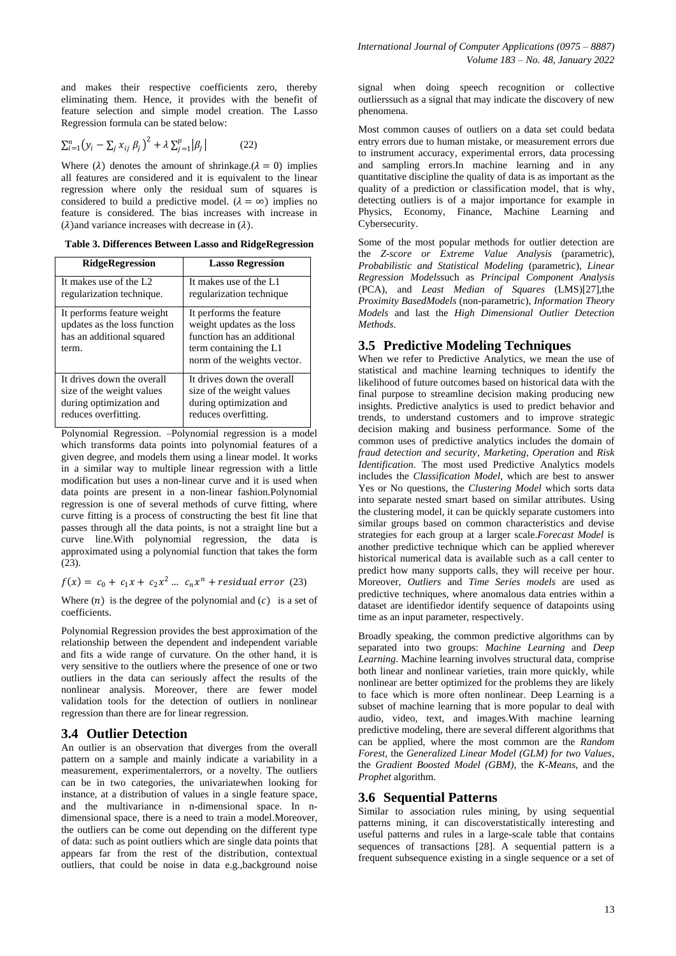and makes their respective coefficients zero, thereby eliminating them. Hence, it provides with the benefit of feature selection and simple model creation. The Lasso Regression formula can be stated below:

$$
\sum_{i=1}^{n} \left( y_i - \sum_j x_{ij} \beta_j \right)^2 + \lambda \sum_{j=1}^{p} \left| \beta_j \right| \tag{22}
$$

Where ( $\lambda$ ) denotes the amount of shrinkage.( $\lambda = 0$ ) implies all features are considered and it is equivalent to the linear regression where only the residual sum of squares is considered to build a predictive model. ( $\lambda = \infty$ ) implies no feature is considered. The bias increases with increase in  $(\lambda)$  and variance increases with decrease in  $(\lambda)$ .

**Table 3. Differences Between Lasso and RidgeRegression**

| <b>RidgeRegression</b>                                                                           | <b>Lasso Regression</b>                                                                                                                      |
|--------------------------------------------------------------------------------------------------|----------------------------------------------------------------------------------------------------------------------------------------------|
| It makes use of the L <sub>2</sub>                                                               | It makes use of the L1                                                                                                                       |
| regularization technique.                                                                        | regularization technique                                                                                                                     |
| It performs feature weight<br>updates as the loss function<br>has an additional squared<br>term. | It performs the feature<br>weight updates as the loss<br>function has an additional<br>term containing the L1<br>norm of the weights vector. |
| It drives down the overall                                                                       | It drives down the overall                                                                                                                   |
| size of the weight values                                                                        | size of the weight values                                                                                                                    |
| during optimization and                                                                          | during optimization and                                                                                                                      |
| reduces overfitting.                                                                             | reduces overfitting.                                                                                                                         |

Polynomial Regression. –Polynomial regression is a model which transforms data points into polynomial features of a given degree, and models them using a linear model. It works in a similar way to multiple linear regression with a little modification but uses a non-linear curve and it is used when data points are present in a non-linear fashion.Polynomial regression is one of several methods of curve fitting, where curve fitting is a process of constructing the best fit line that passes through all the data points, is not a straight line but a curve line.With polynomial regression, the data is approximated using a polynomial function that takes the form (23).

 $f(x) = c_0 + c_1 x + c_2 x^2 ... c_n x^n + residual error$  (23)

Where  $(n)$  is the degree of the polynomial and  $(c)$  is a set of coefficients.

Polynomial Regression provides the best approximation of the relationship between the dependent and independent variable and fits a wide range of curvature. On the other hand, it is very sensitive to the outliers where the presence of one or two outliers in the data can seriously affect the results of the nonlinear analysis. Moreover, there are fewer model validation tools for the detection of outliers in nonlinear regression than there are for linear regression.

# **3.4 Outlier Detection**

An outlier is an observation that diverges from the overall pattern on a sample and mainly indicate a variability in a measurement, experimentalerrors, or a novelty. The outliers can be in two categories, the univariatewhen looking for instance, at a distribution of values in a single feature space, and the multivariance in n-dimensional space. In ndimensional space, there is a need to train a model.Moreover, the outliers can be come out depending on the different type of data: such as point outliers which are single data points that appears far from the rest of the distribution, contextual outliers, that could be noise in data e.g.,background noise

signal when doing speech recognition or collective outlierssuch as a signal that may indicate the discovery of new phenomena.

Most common causes of outliers on a data set could bedata entry errors due to human mistake, or measurement errors due to instrument accuracy, experimental errors, data processing and sampling errors.In machine learning and in any quantitative discipline the quality of data is as important as the quality of a prediction or classification model, that is why, detecting outliers is of a major importance for example in Physics, Economy, Finance, Machine Learning and Cybersecurity.

Some of the most popular methods for outlier detection are the *Z-score or Extreme Value Analysis* (parametric), *Probabilistic and Statistical Modeling* (parametric), *Linear Regression Models*such as *Principal Component Analysis* (PCA), and *Least Median of Squares* (LMS)[27],the *Proximity BasedModels* (non-parametric), *Information Theory Models* and last the *High Dimensional Outlier Detection Methods*.

# **3.5 Predictive Modeling Techniques**

When we refer to Predictive Analytics, we mean the use of statistical and machine learning techniques to identify the likelihood of future outcomes based on historical data with the final purpose to streamline decision making producing new insights. Predictive analytics is used to predict behavior and trends, to understand customers and to improve strategic decision making and business performance. Some of the common uses of predictive analytics includes the domain of *fraud detection and security*, *Marketing*, *Operation* and *Risk Identification*. The most used Predictive Analytics models includes the *Classification Model*, which are best to answer Yes or No questions, the *Clustering Model* which sorts data into separate nested smart based on similar attributes. Using the clustering model, it can be quickly separate customers into similar groups based on common characteristics and devise strategies for each group at a larger scale.*Forecast Model* is another predictive technique which can be applied wherever historical numerical data is available such as a call center to predict how many supports calls, they will receive per hour. Moreover, *Outliers* and *Time Series models* are used as predictive techniques, where anomalous data entries within a dataset are identifiedor identify sequence of datapoints using time as an input parameter, respectively.

Broadly speaking, the common predictive algorithms can by separated into two groups: *Machine Learning* and *Deep Learning*. Machine learning involves structural data, comprise both linear and nonlinear varieties, train more quickly, while nonlinear are better optimized for the problems they are likely to face which is more often nonlinear. Deep Learning is a subset of machine learning that is more popular to deal with audio, video, text, and images.With machine learning predictive modeling, there are several different algorithms that can be applied, where the most common are the *Random Forest*, the *Generalized Linear Model (GLM) for two Values*, the *Gradient Boosted Model (GBM)*, the *K-Means*, and the *Prophet* algorithm.

# **3.6 Sequential Patterns**

Similar to association rules mining, by using sequential patterns mining, it can discoverstatistically interesting and useful patterns and rules in a large-scale table that contains sequences of transactions [28]. A sequential pattern is a frequent subsequence existing in a single sequence or a set of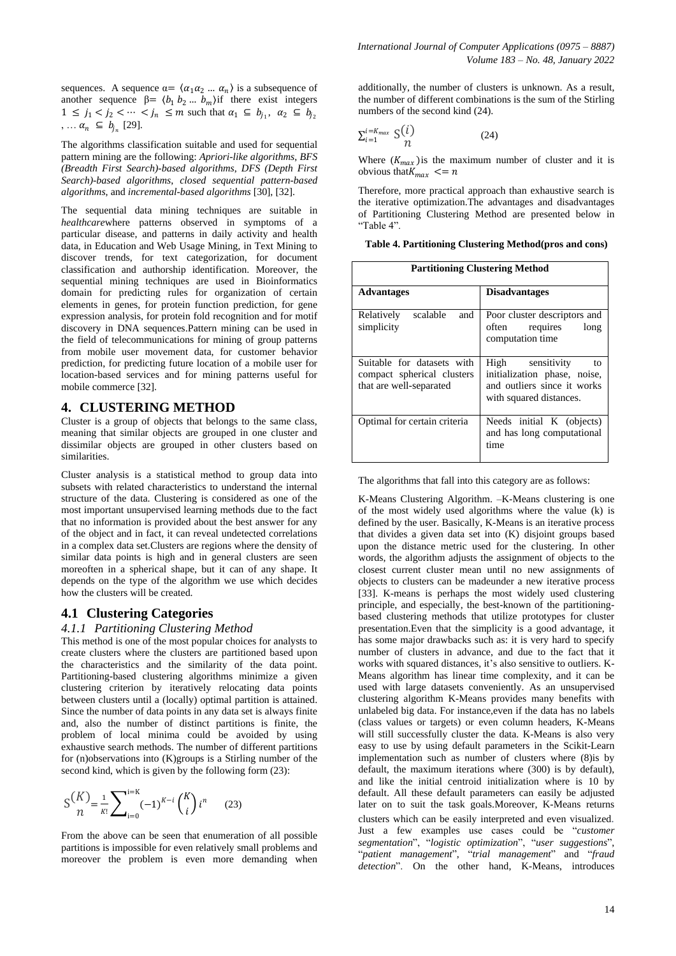sequences. A sequence  $\alpha = \langle \alpha_1 \alpha_2 ... \alpha_n \rangle$  is a subsequence of another sequence  $\beta = \langle b_1 \, b_2 \dots b_m \rangle$  if there exist integers  $1 \leq j_1 < j_2 < \cdots < j_n \leq m$  such that  $\alpha_1 \subseteq b_{j_1}, \alpha_2 \subseteq b_{j_2}$  $, \ldots \alpha_n \subseteq b_{j_n}$  [29].

The algorithms classification suitable and used for sequential pattern mining are the following: *Apriori-like algorithms*, *BFS (Breadth First Search)-based algorithms*, *DFS (Depth First Search)-based algorithms*, *closed sequential pattern-based algorithms*, and *incremental-based algorithms* [30], [32].

The sequential data mining techniques are suitable in *healthcare*where patterns observed in symptoms of a particular disease, and patterns in daily activity and health data, in Education and Web Usage Mining, in Text Mining to discover trends, for text categorization, for document classification and authorship identification. Moreover, the sequential mining techniques are used in Bioinformatics domain for predicting rules for organization of certain elements in genes, for protein function prediction, for gene expression analysis, for protein fold recognition and for motif discovery in DNA sequences.Pattern mining can be used in the field of telecommunications for mining of group patterns from mobile user movement data, for customer behavior prediction, for predicting future location of a mobile user for location-based services and for mining patterns useful for mobile commerce [32].

## **4. CLUSTERING METHOD**

Cluster is a group of objects that belongs to the same class, meaning that similar objects are grouped in one cluster and dissimilar objects are grouped in other clusters based on similarities.

Cluster analysis is a statistical method to group data into subsets with related characteristics to understand the internal structure of the data. Clustering is considered as one of the most important unsupervised learning methods due to the fact that no information is provided about the best answer for any of the object and in fact, it can reveal undetected correlations in a complex data set.Clusters are regions where the density of similar data points is high and in general clusters are seen moreoften in a spherical shape, but it can of any shape. It depends on the type of the algorithm we use which decides how the clusters will be created.

# **4.1 Clustering Categories**

#### *4.1.1 Partitioning Clustering Method*

This method is one of the most popular choices for analysts to create clusters where the clusters are partitioned based upon the characteristics and the similarity of the data point. Partitioning-based clustering algorithms minimize a given clustering criterion by iteratively relocating data points between clusters until a (locally) optimal partition is attained. Since the number of data points in any data set is always finite and, also the number of distinct partitions is finite, the problem of local minima could be avoided by using exhaustive search methods. The number of different partitions for (n)observations into (K)groups is a Stirling number of the second kind, which is given by the following form (23):

$$
S\binom{K}{n} = \frac{1}{\kappa!} \sum_{i=0}^{i=K} (-1)^{K-i} \binom{K}{i} i^n \qquad (23)
$$

From the above can be seen that enumeration of all possible partitions is impossible for even relatively small problems and moreover the problem is even more demanding when additionally, the number of clusters is unknown. As a result, the number of different combinations is the sum of the Stirling numbers of the second kind (24).

$$
\sum_{i=1}^{i=K_{max}} S(i) \qquad (24)
$$

Where  $(K_{max})$  is the maximum number of cluster and it is obvious that  $K_{max} \leq n$ 

Therefore, more practical approach than exhaustive search is the iterative optimization.The advantages and disadvantages of Partitioning Clustering Method are presented below in "Table 4".

| Table 4. Partitioning Clustering Method(pros and cons) |  |
|--------------------------------------------------------|--|
|--------------------------------------------------------|--|

| <b>Partitioning Clustering Method</b>                                               |                                                                                                                  |  |
|-------------------------------------------------------------------------------------|------------------------------------------------------------------------------------------------------------------|--|
| <b>Advantages</b>                                                                   | <b>Disadvantages</b>                                                                                             |  |
| scalable<br>and<br>Relatively<br>simplicity                                         | Poor cluster descriptors and<br>often<br>requires<br>long<br>computation time                                    |  |
| Suitable for datasets with<br>compact spherical clusters<br>that are well-separated | High sensitivity<br>to<br>initialization phase, noise,<br>and outliers since it works<br>with squared distances. |  |
| Optimal for certain criteria                                                        | Needs initial K (objects)<br>and has long computational<br>time                                                  |  |

The algorithms that fall into this category are as follows:

K-Means Clustering Algorithm. –K-Means clustering is one of the most widely used algorithms where the value (k) is defined by the user. Basically, K-Means is an iterative process that divides a given data set into (K) disjoint groups based upon the distance metric used for the clustering. In other words, the algorithm adjusts the assignment of objects to the closest current cluster mean until no new assignments of objects to clusters can be madeunder a new iterative process [33]. K-means is perhaps the most widely used clustering principle, and especially, the best-known of the partitioningbased clustering methods that utilize prototypes for cluster presentation.Even that the simplicity is a good advantage, it has some major drawbacks such as: it is very hard to specify number of clusters in advance, and due to the fact that it works with squared distances, it's also sensitive to outliers. K-Means algorithm has linear time complexity, and it can be used with large datasets conveniently. As an unsupervised clustering algorithm K-Means provides many benefits with unlabeled big data. For instance,even if the data has no labels (class values or targets) or even column headers, K-Means will still successfully cluster the data. K-Means is also very easy to use by using default parameters in the Scikit-Learn implementation such as number of clusters where (8)is by default, the maximum iterations where (300) is by default), and like the initial centroid initialization where is 10 by default. All these default parameters can easily be adjusted later on to suit the task goals.Moreover, K-Means returns clusters which can be easily interpreted and even visualized*.*  Just a few examples use cases could be "customer *segmentation*‖, ―*logistic optimization*‖, ―*user suggestions*‖, ―*patient management*‖, ―*trial management*‖ and ―*fraud*  detection". On the other hand, K-Means, introduces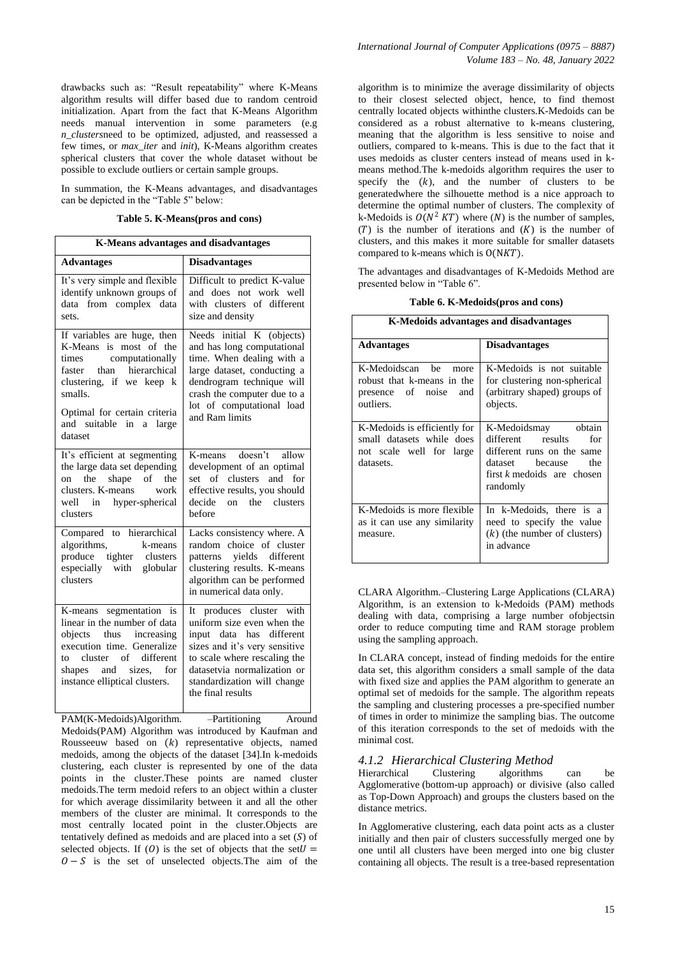drawbacks such as: "Result repeatability" where K-Means algorithm results will differ based due to random centroid initialization. Apart from the fact that K-Means Algorithm needs manual intervention in some parameters (e.g *n\_clusters*need to be optimized, adjusted, and reassessed a few times, or *max\_iter* and *init*), K-Means algorithm creates spherical clusters that cover the whole dataset without be possible to exclude outliers or certain sample groups.

In summation, the K-Means advantages, and disadvantages can be depicted in the "Table 5" below:

#### **Table 5. K-Means(pros and cons)**

| <b>K-Means advantages and disadvantages</b>                                                                                                                                                                                |                                                                                                                                                                                                                                        |  |
|----------------------------------------------------------------------------------------------------------------------------------------------------------------------------------------------------------------------------|----------------------------------------------------------------------------------------------------------------------------------------------------------------------------------------------------------------------------------------|--|
| <b>Advantages</b>                                                                                                                                                                                                          | <b>Disadvantages</b>                                                                                                                                                                                                                   |  |
| It's very simple and flexible<br>identify unknown groups of<br>data from complex data<br>sets.                                                                                                                             | Difficult to predict K-value<br>and does not work well<br>with clusters of different<br>size and density                                                                                                                               |  |
| If variables are huge, then<br>K-Means is most of the<br>times<br>computationally<br>faster than hierarchical<br>clustering, if we keep k<br>smalls.<br>Optimal for certain criteria<br>and suitable in a large<br>dataset | Needs initial K (objects)<br>and has long computational<br>time. When dealing with a<br>large dataset, conducting a<br>dendrogram technique will<br>crash the computer due to a<br>lot of computational load<br>and Ram limits         |  |
| It's efficient at segmenting<br>the large data set depending<br>the<br>shape of<br>the<br>on<br>clusters. K-means work<br>well in hyper-spherical<br>clusters                                                              | doesn't<br>allow<br>K-means<br>development of an optimal<br>set of clusters<br>and<br>for<br>effective results, you should<br>decide<br>on the clusters<br>before                                                                      |  |
| Compared to hierarchical<br>algorithms,<br>k-means<br>produce tighter clusters<br>especially with globular<br>clusters                                                                                                     | Lacks consistency where. A<br>random choice of cluster<br>patterns yields different<br>clustering results. K-means<br>algorithm can be performed<br>in numerical data only.                                                            |  |
| K-means segmentation is<br>linear in the number of data<br>objects thus increasing<br>execution time. Generalize<br>to cluster of different<br>shapes and sizes, for<br>instance elliptical clusters.                      | It produces cluster with<br>uniform size even when the<br>input data has different<br>sizes and it's very sensitive<br>to scale where rescaling the<br>datasetvia normalization or<br>standardization will change<br>the final results |  |

PAM(K-Medoids)Algorithm. –Partitioning Around

Medoids(PAM) Algorithm was introduced by Kaufman and Rousseeuw based on  $(k)$  representative objects, named medoids, among the objects of the dataset [34].In k-medoids clustering, each cluster is represented by one of the data points in the cluster.These points are named cluster medoids.The term medoid refers to an object within a cluster for which average dissimilarity between it and all the other members of the cluster are minimal. It corresponds to the most centrally located point in the cluster.Objects are tentatively defined as medoids and are placed into a set  $(S)$  of selected objects. If (0) is the set of objects that the set  $U =$  $0 - S$  is the set of unselected objects. The aim of the

algorithm is to minimize the average dissimilarity of objects to their closest selected object, hence, to find themost centrally located objects withinthe clusters.K-Medoids can be considered as a robust alternative to k-means clustering, meaning that the algorithm is less sensitive to noise and outliers, compared to k-means. This is due to the fact that it uses medoids as cluster centers instead of means used in kmeans method.The k-medoids algorithm requires the user to specify the  $(k)$ , and the number of clusters to be generatedwhere the silhouette method is a nice approach to determine the optimal number of clusters. The complexity of k-Medoids is  $O(N^2 K T)$  where (N) is the number of samples,  $(T)$  is the number of iterations and  $(K)$  is the number of clusters, and this makes it more suitable for smaller datasets compared to k-means which is  $O(NKT)$ .

The advantages and disadvantages of K-Medoids Method are presented below in "Table 6".

|  | Table 6. K-Medoids (pros and cons) |  |
|--|------------------------------------|--|
|--|------------------------------------|--|

| K-Medoids advantages and disadvantages                                                             |                                                                                                                                                     |  |
|----------------------------------------------------------------------------------------------------|-----------------------------------------------------------------------------------------------------------------------------------------------------|--|
| <b>Advantages</b>                                                                                  | <b>Disadvantages</b>                                                                                                                                |  |
| K-Medoidscan be<br>more<br>robust that k-means in the<br>presence of noise<br>and<br>outliers.     | K-Medoids is not suitable<br>for clustering non-spherical<br>(arbitrary shaped) groups of<br>objects.                                               |  |
| K-Medoids is efficiently for<br>small datasets while does<br>not scale well for large<br>datasets. | K-Medoidsmay obtain<br>different results<br>for<br>different runs on the same<br>dataset because<br>the<br>first $k$ medoids are chosen<br>randomly |  |
| K-Medoids is more flexible<br>as it can use any similarity<br>measure.                             | In k-Medoids, there is a<br>need to specify the value<br>$(k)$ (the number of clusters)<br>in advance                                               |  |

CLARA Algorithm.–Clustering Large Applications (CLARA) Algorithm, is an extension to k-Medoids (PAM) methods dealing with data, comprising a large number ofobjectsin order to reduce computing time and RAM storage problem using the sampling approach.

In CLARA concept, instead of finding medoids for the entire data set, this algorithm considers a small sample of the data with fixed size and applies the PAM algorithm to generate an optimal set of medoids for the sample. The algorithm repeats the sampling and clustering processes a pre-specified number of times in order to minimize the sampling bias. The outcome of this iteration corresponds to the set of medoids with the minimal cost.

## *4.1.2 Hierarchical Clustering Method*

Hierarchical Clustering algorithms can be Agglomerative (bottom-up approach) or divisive (also called as Top-Down Approach) and groups the clusters based on the distance metrics.

In Agglomerative clustering, each data point acts as a cluster initially and then pair of clusters successfully merged one by one until all clusters have been merged into one big cluster containing all objects. The result is a tree-based representation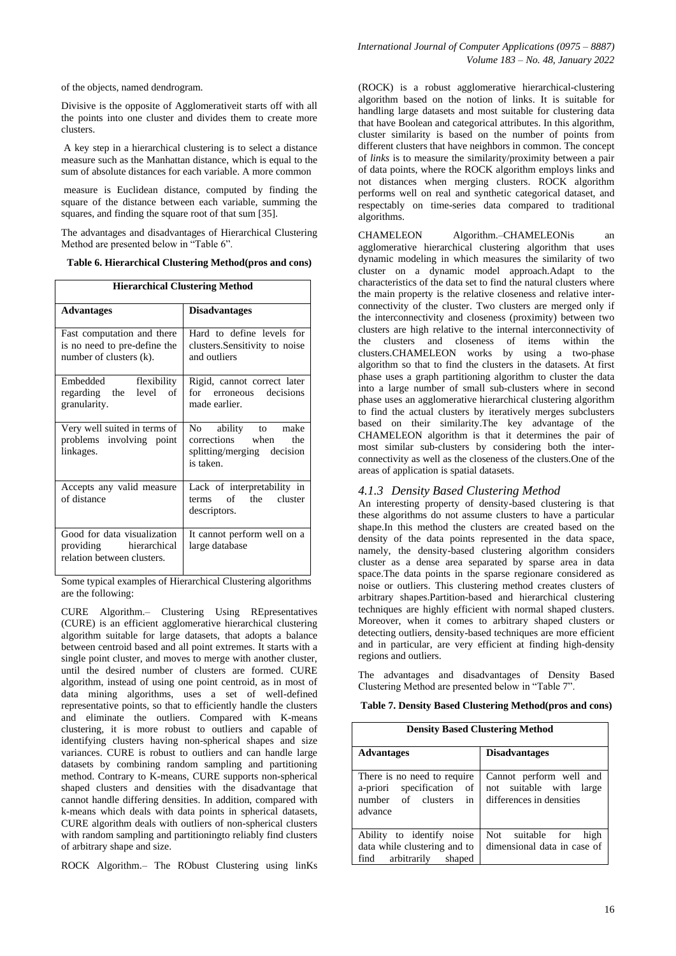of the objects, named dendrogram.

Divisive is the opposite of Agglomerativeit starts off with all the points into one cluster and divides them to create more clusters.

A key step in a hierarchical clustering is to select a distance measure such as the Manhattan distance, which is equal to the sum of absolute distances for each variable. A more common

measure is Euclidean distance, computed by finding the square of the distance between each variable, summing the squares, and finding the square root of that sum [35].

The advantages and disadvantages of Hierarchical Clustering Method are presented below in "Table 6".

| Table 6. Hierarchical Clustering Method(pros and cons) |  |  |  |
|--------------------------------------------------------|--|--|--|
|--------------------------------------------------------|--|--|--|

| <b>Hierarchical Clustering Method</b>                                                 |                                                                                             |  |
|---------------------------------------------------------------------------------------|---------------------------------------------------------------------------------------------|--|
| <b>Advantages</b>                                                                     | <b>Disadvantages</b>                                                                        |  |
| Fast computation and there<br>is no need to pre-define the<br>number of clusters (k). | Hard to define levels for<br>clusters. Sensitivity to noise<br>and outliers                 |  |
| Embedded flexibility<br>regarding the level<br>of<br>granularity.                     | Rigid, cannot correct later<br>for erroneous decisions<br>made earlier.                     |  |
| Very well suited in terms of<br>problems involving point<br>linkages.                 | No ability to<br>make<br>corrections when<br>the<br>splitting/merging decision<br>is taken. |  |
| Accepts any valid measure<br>of distance                                              | Lack of interpretability in<br>terms of the cluster<br>descriptors.                         |  |
| Good for data visualization<br>providing hierarchical<br>relation between clusters.   | It cannot perform well on a<br>large database                                               |  |

Some typical examples of Hierarchical Clustering algorithms are the following:

CURE Algorithm.– Clustering Using REpresentatives (CURE) is an efficient agglomerative hierarchical clustering algorithm suitable for large datasets, that adopts a balance between centroid based and all point extremes. It starts with a single point cluster, and moves to merge with another cluster, until the desired number of clusters are formed. CURE algorithm, instead of using one point centroid, as in most of data mining algorithms, uses a set of well-defined representative points, so that to efficiently handle the clusters and eliminate the outliers. Compared with K-means clustering, it is more robust to outliers and capable of identifying clusters having non-spherical shapes and size variances. CURE is robust to outliers and can handle large datasets by combining random sampling and partitioning method. Contrary to K-means, CURE supports non-spherical shaped clusters and densities with the disadvantage that cannot handle differing densities. In addition, compared with k-means which deals with data points in spherical datasets, CURE algorithm deals with outliers of non-spherical clusters with random sampling and partitioningto reliably find clusters of arbitrary shape and size.

ROCK Algorithm.– The RObust Clustering using linKs

(ROCK) is a robust agglomerative hierarchical-clustering algorithm based on the notion of links. It is suitable for handling large datasets and most suitable for clustering data that have Boolean and categorical attributes. In this algorithm, cluster similarity is based on the number of points from different clusters that have neighbors in common. The concept of *links* is to measure the similarity/proximity between a pair of data points, where the ROCK algorithm employs links and not distances when merging clusters. ROCK algorithm performs well on real and synthetic categorical dataset, and respectably on time-series data compared to traditional algorithms.

CHAMELEON Algorithm.–CHAMELEONis an agglomerative hierarchical clustering algorithm that uses dynamic modeling in which measures the similarity of two cluster on a dynamic model approach.Adapt to the characteristics of the data set to find the natural clusters where the main property is the relative closeness and relative interconnectivity of the cluster. Two clusters are merged only if the interconnectivity and closeness (proximity) between two clusters are high relative to the internal interconnectivity of the clusters and closeness of items within the clusters.CHAMELEON works by using a two-phase algorithm so that to find the clusters in the datasets. At first phase uses a graph partitioning algorithm to cluster the data into a large number of small sub-clusters where in second phase uses an agglomerative hierarchical clustering algorithm to find the actual clusters by iteratively merges subclusters based on their similarity.The key advantage of the CHAMELEON algorithm is that it determines the pair of most similar sub-clusters by considering both the interconnectivity as well as the closeness of the clusters.One of the areas of application is spatial datasets.

#### *4.1.3 Density Based Clustering Method*

An interesting property of density-based clustering is that these algorithms do not assume clusters to have a particular shape.In this method the clusters are created based on the density of the data points represented in the data space, namely, the density-based clustering algorithm considers cluster as a dense area separated by sparse area in data space.The data points in the sparse regionare considered as noise or outliers. This clustering method creates clusters of arbitrary shapes.Partition-based and hierarchical clustering techniques are highly efficient with normal shaped clusters. Moreover, when it comes to arbitrary shaped clusters or detecting outliers, density-based techniques are more efficient and in particular, are very efficient at finding high-density regions and outliers.

The advantages and disadvantages of Density Based Clustering Method are presented below in "Table 7".

| <b>Density Based Clustering Method</b>                                                             |                                                                                |
|----------------------------------------------------------------------------------------------------|--------------------------------------------------------------------------------|
| <b>Advantages</b>                                                                                  | <b>Disadvantages</b>                                                           |
| There is no need to require<br>a-priori specification<br>of<br>number of clusters<br>in<br>advance | Cannot perform well and<br>not suitable with large<br>differences in densities |
| Ability to identify noise<br>data while clustering and to<br>find<br>arbitrarily<br>shaped         | Not suitable for<br>high<br>dimensional data in case of                        |

**Table 7. Density Based Clustering Method(pros and cons)**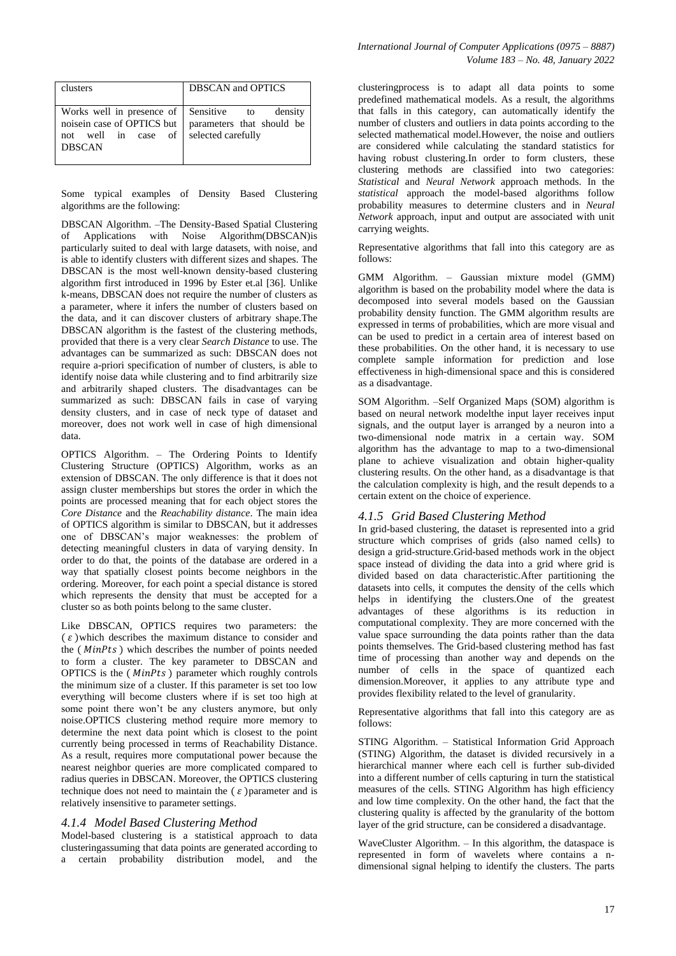| clusters                   | <b>DBSCAN</b> and <b>OPTICS</b> |
|----------------------------|---------------------------------|
| Works well in presence of  | Sensitive to                    |
| noisein case of OPTICS but | density                         |
| not well in case of        | parameters that should be       |
| <b>DBSCAN</b>              | selected carefully              |

Some typical examples of Density Based Clustering algorithms are the following:

DBSCAN Algorithm. –The Density-Based Spatial Clustering of Applications with Noise Algorithm(DBSCAN)is particularly suited to deal with large datasets, with noise, and is able to identify clusters with different sizes and shapes. The DBSCAN is the most well-known density-based clustering algorithm first introduced in 1996 by Ester et.al [36]. Unlike k-means, DBSCAN does not require the number of clusters as a parameter, where it infers the number of clusters based on the data, and it can discover clusters of arbitrary shape.The DBSCAN algorithm is the fastest of the clustering methods, provided that there is a very clear *Search Distance* to use. The advantages can be summarized as such: DBSCAN does not require a-priori specification of number of clusters, is able to identify noise data while clustering and to find arbitrarily size and arbitrarily shaped clusters. The disadvantages can be summarized as such: DBSCAN fails in case of varying density clusters, and in case of neck type of dataset and moreover, does not work well in case of high dimensional data.

OPTICS Algorithm. – The Ordering Points to Identify Clustering Structure (OPTICS) Algorithm, works as an extension of DBSCAN. The only difference is that it does not assign cluster memberships but stores the order in which the points are processed meaning that for each object stores the *Core Distance* and the *Reachability distance*. The main idea of OPTICS algorithm is similar to DBSCAN, but it addresses one of DBSCAN's major weaknesses: the problem of detecting meaningful clusters in data of varying density. In order to do that, the points of the database are ordered in a way that spatially closest points become neighbors in the ordering. Moreover, for each point a special distance is stored which represents the density that must be accepted for a cluster so as both points belong to the same cluster.

Like DBSCAN, OPTICS requires two parameters: the  $\epsilon$ )which describes the maximum distance to consider and the ( $MinPts$ ) which describes the number of points needed to form a cluster. The key parameter to DBSCAN and OPTICS is the  $(MinPts)$  parameter which roughly controls the minimum size of a cluster. If this parameter is set too low everything will become clusters where if is set too high at some point there won't be any clusters anymore, but only noise.OPTICS clustering method require more memory to determine the next data point which is closest to the point currently being processed in terms of Reachability Distance. As a result, requires more computational power because the nearest neighbor queries are more complicated compared to radius queries in DBSCAN. Moreover, the OPTICS clustering technique does not need to maintain the  $\epsilon$ ) parameter and is relatively insensitive to parameter settings.

## *4.1.4 Model Based Clustering Method*

Model-based clustering is a statistical approach to data clusteringassuming that data points are generated according to a certain probability distribution model, and the clusteringprocess is to adapt all data points to some predefined mathematical models. As a result, the algorithms that falls in this category, can automatically identify the number of clusters and outliers in data points according to the selected mathematical model.However, the noise and outliers are considered while calculating the standard statistics for having robust clustering.In order to form clusters, these clustering methods are classified into two categories: *Statistical* and *Neural Network* approach methods. In the *statistical* approach the model-based algorithms follow probability measures to determine clusters and in *Neural Network* approach, input and output are associated with unit carrying weights.

Representative algorithms that fall into this category are as follows:

GMM Algorithm. – Gaussian mixture model (GMM) algorithm is based on the probability model where the data is decomposed into several models based on the Gaussian probability density function. The GMM algorithm results are expressed in terms of probabilities, which are more visual and can be used to predict in a certain area of interest based on these probabilities. On the other hand, it is necessary to use complete sample information for prediction and lose effectiveness in high-dimensional space and this is considered as a disadvantage.

SOM Algorithm. –Self Organized Maps (SOM) algorithm is based on neural network modelthe input layer receives input signals, and the output layer is arranged by a neuron into a two-dimensional node matrix in a certain way. SOM algorithm has the advantage to map to a two-dimensional plane to achieve visualization and obtain higher-quality clustering results. On the other hand, as a disadvantage is that the calculation complexity is high, and the result depends to a certain extent on the choice of experience.

## *4.1.5 Grid Based Clustering Method*

In grid-based clustering, the dataset is represented into a grid structure which comprises of grids (also named cells) to design a grid-structure.Grid-based methods work in the object space instead of dividing the data into a grid where grid is divided based on data characteristic.After partitioning the datasets into cells, it computes the density of the cells which helps in identifying the clusters.One of the greatest advantages of these algorithms is its reduction in computational complexity. They are more concerned with the value space surrounding the data points rather than the data points themselves. The Grid-based clustering method has fast time of processing than another way and depends on the number of cells in the space of quantized each dimension.Moreover, it applies to any attribute type and provides flexibility related to the level of granularity.

Representative algorithms that fall into this category are as follows:

STING Algorithm. – Statistical Information Grid Approach (STING) Algorithm, the dataset is divided recursively in a hierarchical manner where each cell is further sub-divided into a different number of cells capturing in turn the statistical measures of the cells. STING Algorithm has high efficiency and low time complexity. On the other hand, the fact that the clustering quality is affected by the granularity of the bottom layer of the grid structure, can be considered a disadvantage.

WaveCluster Algorithm. – In this algorithm, the dataspace is represented in form of wavelets where contains a ndimensional signal helping to identify the clusters. The parts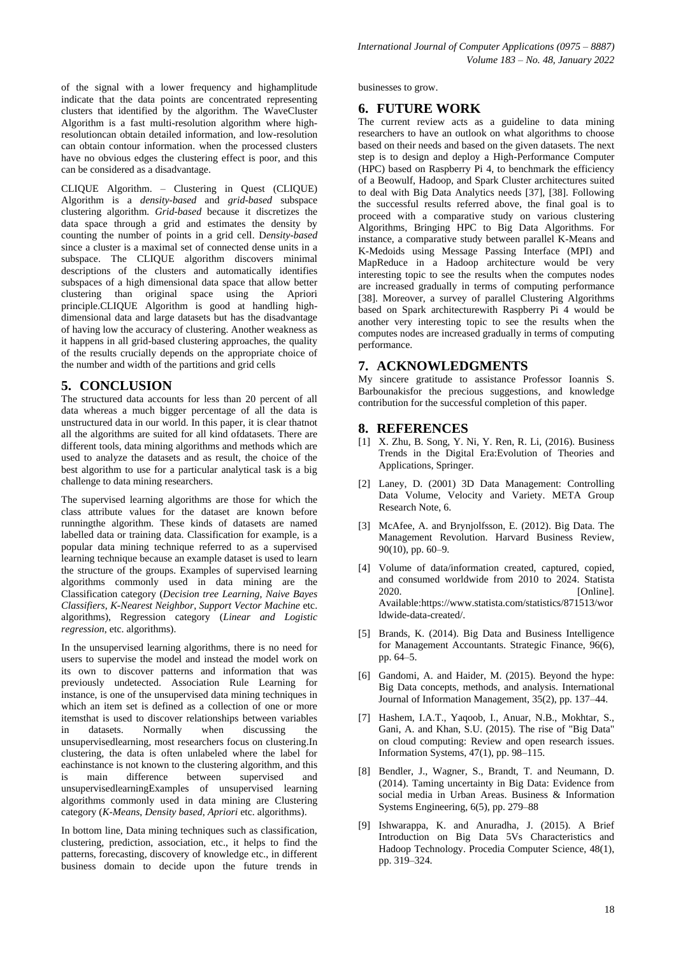of the signal with a lower frequency and highamplitude indicate that the data points are concentrated representing clusters that identified by the algorithm. The WaveCluster Algorithm is a fast multi-resolution algorithm where highresolutioncan obtain detailed information, and low-resolution can obtain contour information. when the processed clusters have no obvious edges the clustering effect is poor, and this can be considered as a disadvantage.

CLIQUE Algorithm. – Clustering in Quest (CLIQUE) Algorithm is a *density-based* and *grid-based* subspace clustering algorithm. *Grid-based* because it discretizes the data space through a grid and estimates the density by counting the number of points in a grid cell. D*ensity-based* since a cluster is a maximal set of connected dense units in a subspace. The CLIQUE algorithm discovers minimal descriptions of the clusters and automatically identifies subspaces of a high dimensional data space that allow better clustering than original space using the Apriori principle.CLIQUE Algorithm is good at handling highdimensional data and large datasets but has the disadvantage of having low the accuracy of clustering. Another weakness as it happens in all grid-based clustering approaches, the quality of the results crucially depends on the appropriate choice of the number and width of the partitions and grid cells

## **5. CONCLUSION**

The structured data accounts for less than 20 percent of all data whereas a much bigger percentage of all the data is unstructured data in our world. In this paper, it is clear thatnot all the algorithms are suited for all kind ofdatasets. There are different tools, data mining algorithms and methods which are used to analyze the datasets and as result, the choice of the best algorithm to use for a particular analytical task is a big challenge to data mining researchers.

The supervised learning algorithms are those for which the class attribute values for the dataset are known before runningthe algorithm. These kinds of datasets are named labelled data or training data. Classification for example, is a popular data mining technique referred to as a supervised learning technique because an example dataset is used to learn the structure of the groups. Examples of supervised learning algorithms commonly used in data mining are the Classification category (*Decision tree Learning*, *Naive Bayes Classifiers*, *K-Nearest Neighbor*, *Support Vector Machine* etc. algorithms), Regression category (*Linear and Logistic regression*, etc. algorithms).

In the unsupervised learning algorithms, there is no need for users to supervise the model and instead the model work on its own to discover patterns and information that was previously undetected. Association Rule Learning for instance, is one of the unsupervised data mining techniques in which an item set is defined as a collection of one or more itemsthat is used to discover relationships between variables in datasets. Normally when discussing the unsupervisedlearning, most researchers focus on clustering.In clustering, the data is often unlabeled where the label for eachinstance is not known to the clustering algorithm, and this is main difference between supervised and unsupervisedlearningExamples of unsupervised learning algorithms commonly used in data mining are Clustering category (*K-Means*, *Density based*, *Apriori* etc. algorithms).

In bottom line, Data mining techniques such as classification, clustering, prediction, association, etc., it helps to find the patterns, forecasting, discovery of knowledge etc., in different business domain to decide upon the future trends in

businesses to grow.

# **6. FUTURE WORK**

The current review acts as a guideline to data mining researchers to have an outlook on what algorithms to choose based on their needs and based on the given datasets. The next step is to design and deploy a High-Performance Computer (HPC) based on Raspberry Pi 4, to benchmark the efficiency of a Beowulf, Hadoop, and Spark Cluster architectures suited to deal with Big Data Analytics needs [37], [38]. Following the successful results referred above, the final goal is to proceed with a comparative study on various clustering Algorithms, Bringing HPC to Big Data Algorithms. For instance, a comparative study between parallel K-Means and K-Medoids using Message Passing Interface (MPI) and MapReduce in a Hadoop architecture would be very interesting topic to see the results when the computes nodes are increased gradually in terms of computing performance [38]. Moreover, a survey of parallel Clustering Algorithms based on Spark architecturewith Raspberry Pi 4 would be another very interesting topic to see the results when the computes nodes are increased gradually in terms of computing performance.

## **7. ACKNOWLEDGMENTS**

My sincere gratitude to assistance Professor Ioannis S. Barbounakisfor the precious suggestions, and knowledge contribution for the successful completion of this paper.

## **8. REFERENCES**

- [1] X. Zhu, B. Song, Y. Ni, Y. Ren, R. Li, (2016). Business Trends in the Digital Era:Evolution of Theories and Applications, Springer.
- [2] Laney, D. (2001) 3D Data Management: Controlling Data Volume, Velocity and Variety. META Group Research Note, 6.
- [3] McAfee, A. and Brynjolfsson, E. (2012). Big Data. The Management Revolution. Harvard Business Review, 90(10), pp. 60–9.
- [4] Volume of data/information created, captured, copied, and consumed worldwide from 2010 to 2024. Statista 2020. [Online]. Available:https://www.statista.com/statistics/871513/wor ldwide-data-created/.
- [5] Brands, K. (2014). Big Data and Business Intelligence for Management Accountants. Strategic Finance, 96(6), pp. 64–5.
- [6] Gandomi, A. and Haider, M. (2015). Beyond the hype: Big Data concepts, methods, and analysis. International Journal of Information Management, 35(2), pp. 137–44.
- [7] Hashem, I.A.T., Yaqoob, I., Anuar, N.B., Mokhtar, S., Gani, A. and Khan, S.U. (2015). The rise of "Big Data" on cloud computing: Review and open research issues. Information Systems, 47(1), pp. 98–115.
- [8] Bendler, J., Wagner, S., Brandt, T. and Neumann, D. (2014). Taming uncertainty in Big Data: Evidence from social media in Urban Areas. Business & Information Systems Engineering, 6(5), pp. 279–88
- [9] Ishwarappa, K. and Anuradha, J. (2015). A Brief Introduction on Big Data 5Vs Characteristics and Hadoop Technology. Procedia Computer Science, 48(1), pp. 319–324.